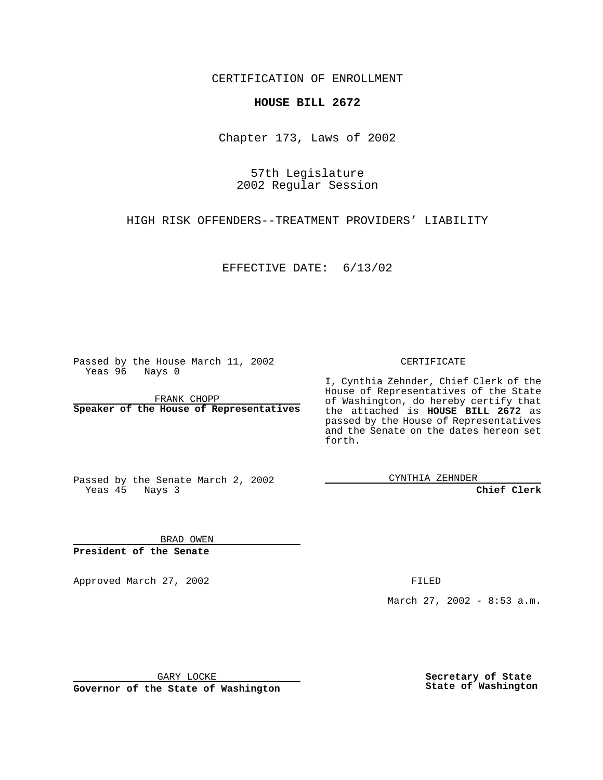CERTIFICATION OF ENROLLMENT

## **HOUSE BILL 2672**

Chapter 173, Laws of 2002

57th Legislature 2002 Regular Session

HIGH RISK OFFENDERS--TREATMENT PROVIDERS' LIABILITY

EFFECTIVE DATE: 6/13/02

Passed by the House March 11, 2002 Yeas 96 Nays 0

FRANK CHOPP **Speaker of the House of Representatives** CERTIFICATE

I, Cynthia Zehnder, Chief Clerk of the House of Representatives of the State of Washington, do hereby certify that the attached is **HOUSE BILL 2672** as passed by the House of Representatives and the Senate on the dates hereon set forth.

Passed by the Senate March 2, 2002 Yeas 45 Nays 3

CYNTHIA ZEHNDER

**Chief Clerk**

BRAD OWEN **President of the Senate**

Approved March 27, 2002 **FILED** 

March 27, 2002 - 8:53 a.m.

GARY LOCKE

**Governor of the State of Washington**

**Secretary of State State of Washington**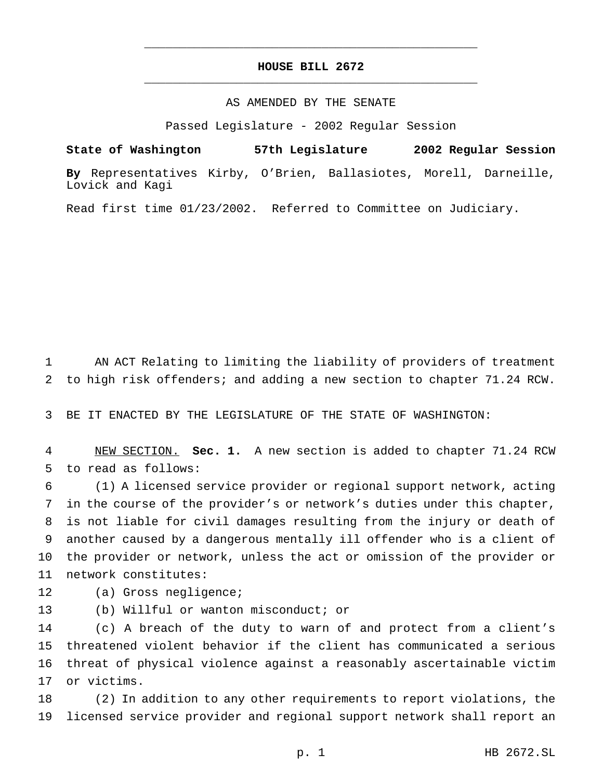## **HOUSE BILL 2672** \_\_\_\_\_\_\_\_\_\_\_\_\_\_\_\_\_\_\_\_\_\_\_\_\_\_\_\_\_\_\_\_\_\_\_\_\_\_\_\_\_\_\_\_\_\_\_

\_\_\_\_\_\_\_\_\_\_\_\_\_\_\_\_\_\_\_\_\_\_\_\_\_\_\_\_\_\_\_\_\_\_\_\_\_\_\_\_\_\_\_\_\_\_\_

## AS AMENDED BY THE SENATE

Passed Legislature - 2002 Regular Session

**State of Washington 57th Legislature 2002 Regular Session**

**By** Representatives Kirby, O'Brien, Ballasiotes, Morell, Darneille, Lovick and Kagi

Read first time 01/23/2002. Referred to Committee on Judiciary.

 AN ACT Relating to limiting the liability of providers of treatment to high risk offenders; and adding a new section to chapter 71.24 RCW.

BE IT ENACTED BY THE LEGISLATURE OF THE STATE OF WASHINGTON:

 NEW SECTION. **Sec. 1.** A new section is added to chapter 71.24 RCW to read as follows:

 (1) A licensed service provider or regional support network, acting in the course of the provider's or network's duties under this chapter, is not liable for civil damages resulting from the injury or death of another caused by a dangerous mentally ill offender who is a client of the provider or network, unless the act or omission of the provider or network constitutes:

- 12 (a) Gross negligence;
- (b) Willful or wanton misconduct; or

 (c) A breach of the duty to warn of and protect from a client's threatened violent behavior if the client has communicated a serious threat of physical violence against a reasonably ascertainable victim or victims.

 (2) In addition to any other requirements to report violations, the licensed service provider and regional support network shall report an

p. 1 HB 2672.SL